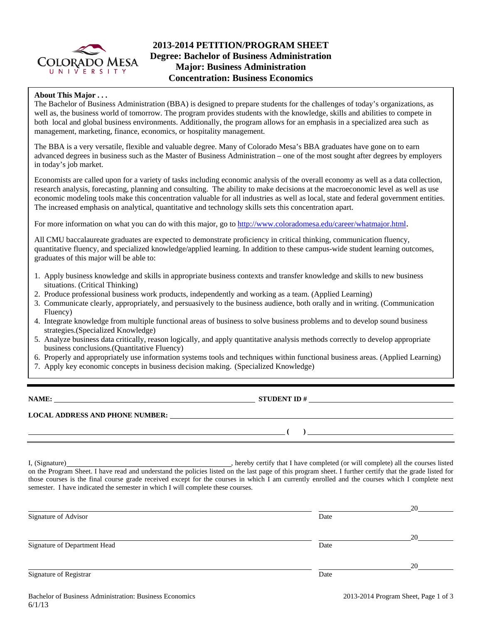

# **2013-2014 PETITION/PROGRAM SHEET Degree: Bachelor of Business Administration Major: Business Administration Concentration: Business Economics**

## **About This Major . . .**

The Bachelor of Business Administration (BBA) is designed to prepare students for the challenges of today's organizations, as well as, the business world of tomorrow. The program provides students with the knowledge, skills and abilities to compete in both local and global business environments. Additionally, the program allows for an emphasis in a specialized area such as management, marketing, finance, economics, or hospitality management.

The BBA is a very versatile, flexible and valuable degree. Many of Colorado Mesa's BBA graduates have gone on to earn advanced degrees in business such as the Master of Business Administration – one of the most sought after degrees by employers in today's job market.

Economists are called upon for a variety of tasks including economic analysis of the overall economy as well as a data collection, research analysis, forecasting, planning and consulting. The ability to make decisions at the macroeconomic level as well as use economic modeling tools make this concentration valuable for all industries as well as local, state and federal government entities. The increased emphasis on analytical, quantitative and technology skills sets this concentration apart.

For more information on what you can do with this major, go to http://www.coloradomesa.edu/career/whatmajor.html.

All CMU baccalaureate graduates are expected to demonstrate proficiency in critical thinking, communication fluency, quantitative fluency, and specialized knowledge/applied learning. In addition to these campus-wide student learning outcomes, graduates of this major will be able to:

- 1. Apply business knowledge and skills in appropriate business contexts and transfer knowledge and skills to new business situations. (Critical Thinking)
- 2. Produce professional business work products, independently and working as a team. (Applied Learning)
- 3. Communicate clearly, appropriately, and persuasively to the business audience, both orally and in writing. (Communication Fluency)
- 4. Integrate knowledge from multiple functional areas of business to solve business problems and to develop sound business strategies.(Specialized Knowledge)
- 5. Analyze business data critically, reason logically, and apply quantitative analysis methods correctly to develop appropriate business conclusions.(Quantitative Fluency)
- 6. Properly and appropriately use information systems tools and techniques within functional business areas. (Applied Learning)
- 7. Apply key economic concepts in business decision making. (Specialized Knowledge)

**NAME: STUDENT ID #** 

**LOCAL ADDRESS AND PHONE NUMBER:**

I, (Signature) , hereby certify that I have completed (or will complete) all the courses listed

on the Program Sheet. I have read and understand the policies listed on the last page of this program sheet. I further certify that the grade listed for those courses is the final course grade received except for the courses in which I am currently enrolled and the courses which I complete next semester. I have indicated the semester in which I will complete these courses.

|                              |      | 20 |
|------------------------------|------|----|
| Signature of Advisor         | Date |    |
|                              |      | 20 |
| Signature of Department Head | Date |    |
|                              |      | 20 |
| Signature of Registrar       | Date |    |

 **( )**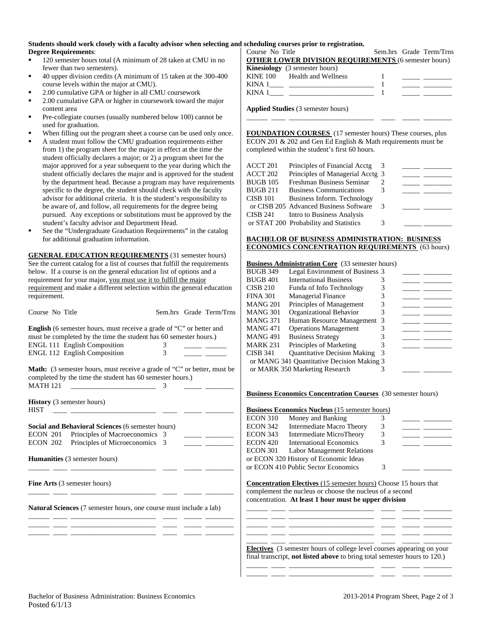#### **Students should work closely with a faculty advisor when selecting and scheduling courses prior to registration. Degree Requirements**:

- <sup>120</sup> semester hours total (A minimum of 28 taken at CMU in no fewer than two semesters).
- 40 upper division credits (A minimum of 15 taken at the 300-400 course levels within the major at CMU).
- 2.00 cumulative GPA or higher in all CMU coursework
- 2.00 cumulative GPA or higher in coursework toward the major content area
- Pre-collegiate courses (usually numbered below 100) cannot be used for graduation.
- When filling out the program sheet a course can be used only once.
- A student must follow the CMU graduation requirements either from 1) the program sheet for the major in effect at the time the student officially declares a major; or 2) a program sheet for the major approved for a year subsequent to the year during which the student officially declares the major and is approved for the student by the department head. Because a program may have requirements specific to the degree, the student should check with the faculty advisor for additional criteria. It is the student's responsibility to be aware of, and follow, all requirements for the degree being pursued. Any exceptions or substitutions must be approved by the student's faculty advisor and Department Head.
- See the "Undergraduate Graduation Requirements" in the catalog for additional graduation information.

**GENERAL EDUCATION REQUIREMENTS** (31 semester hours) See the current catalog for a list of courses that fulfill the requirements below. If a course is on the general education list of options and a requirement for your major, you must use it to fulfill the major requirement and make a different selection within the general education requirement.

| <b>English</b> (6 semester hours, must receive a grade of "C" or better and |   |  |
|-----------------------------------------------------------------------------|---|--|
| must be completed by the time the student has 60 semester hours.)           |   |  |
| <b>ENGL 111 English Composition</b>                                         | 3 |  |
| <b>ENGL 112 English Composition</b>                                         | 3 |  |

Course No Title Sem.hrs Grade Term/Trns

**Math:** (3 semester hours, must receive a grade of "C" or better, must be completed by the time the student has 60 semester hours.) MATH 121 \_\_\_\_\_\_\_\_\_\_\_\_\_\_\_\_\_\_\_\_\_\_\_\_ 3 \_\_\_\_\_ \_\_\_\_\_\_\_\_

**History** (3 semester hours) HIST \_\_\_\_ \_\_\_\_\_\_\_\_\_\_\_\_\_\_\_\_\_\_\_\_\_\_\_\_ \_\_\_\_ \_\_\_\_\_ \_\_\_\_\_\_\_\_

**Social and Behavioral Sciences** (6 semester hours) ECON 201 Principles of Macroeconomics 3 ECON 202 Principles of Microeconomics 3

**Humanities** (3 semester hours)

**Fine Arts** (3 semester hours)

**Natural Sciences** (7 semester hours, one course must include a lab)

\_\_\_\_\_\_ \_\_\_\_ \_\_\_\_\_\_\_\_\_\_\_\_\_\_\_\_\_\_\_\_\_\_\_\_ \_\_\_\_ \_\_\_\_\_ \_\_\_\_\_\_\_\_

\_\_\_\_\_\_ \_\_\_\_ \_\_\_\_\_\_\_\_\_\_\_\_\_\_\_\_\_\_\_\_\_\_\_\_ \_\_\_\_ \_\_\_\_\_ \_\_\_\_\_\_\_\_

\_\_\_\_\_\_ \_\_\_\_ \_\_\_\_\_\_\_\_\_\_\_\_\_\_\_\_\_\_\_\_\_\_\_\_ \_\_\_\_ \_\_\_\_\_ \_\_\_\_\_\_\_\_ \_\_\_\_\_\_ \_\_\_\_ \_\_\_\_\_\_\_\_\_\_\_\_\_\_\_\_\_\_\_\_\_\_\_\_ \_\_\_\_ \_\_\_\_\_ \_\_\_\_\_\_\_\_ \_\_\_\_\_\_ \_\_\_\_ \_\_\_\_\_\_\_\_\_\_\_\_\_\_\_\_\_\_\_\_\_\_\_\_ \_\_\_\_ \_\_\_\_\_ \_\_\_\_\_\_\_\_

| Course No Title                                             | Sem.hrs Grade Term/Trns                        |
|-------------------------------------------------------------|------------------------------------------------|
| <b>OTHER LOWER DIVISION REQUIREMENTS (6 semester hours)</b> |                                                |
| <b>Kinesiology</b> (3 semester hours)                       |                                                |
| KINE 100 Health and Wellness                                | <u>and the state of the state of the state</u> |
|                                                             |                                                |
|                                                             |                                                |
|                                                             |                                                |

**Applied Studies** (3 semester hours)

**FOUNDATION COURSES** (17 semester hours) These courses, plus ECON 201 & 202 and Gen Ed English & Math requirements must be completed within the student's first 60 hours.

\_\_\_\_\_\_ \_\_\_\_ \_\_\_\_\_\_\_\_\_\_\_\_\_\_\_\_\_\_\_\_\_\_\_\_ \_\_\_\_ \_\_\_\_\_ \_\_\_\_\_\_\_\_

| ACCT 201 | Principles of Financial Acctg          |   |  |
|----------|----------------------------------------|---|--|
| ACCT 202 | Principles of Managerial Acctg 3       |   |  |
| BUGB 105 | Freshman Business Seminar              |   |  |
| BUGB 211 | <b>Business Communications</b>         |   |  |
| CISB 101 | Business Inform. Technology            |   |  |
|          | or CISB 205 Advanced Business Software | 3 |  |
| CISB 241 | Intro to Business Analysis             |   |  |
|          | or STAT 200 Probability and Statistics |   |  |
|          |                                        |   |  |

#### **BACHELOR OF BUSINESS ADMINISTRATION: BUSINESS ECONOMICS CONCENTRATION REQUIREMENTS** (63 hours)

## **Business Administration Core** (33 semester hours)

| BUGB 349 | Legal Environment of Business 3            |   |  |
|----------|--------------------------------------------|---|--|
| BUGB 401 | <b>International Business</b>              |   |  |
| CISB 210 | Funda of Info Technology                   |   |  |
| FINA 301 | <b>Managerial Finance</b>                  |   |  |
| MANG 201 | Principles of Management                   | 3 |  |
| MANG 301 | Organizational Behavior                    |   |  |
| MANG 371 | Human Resource Management 3                |   |  |
| MANG 471 | <b>Operations Management</b>               |   |  |
| MANG 491 | <b>Business Strategy</b>                   |   |  |
| MARK 231 | Principles of Marketing                    |   |  |
| CISB 341 | <b>Quantitative Decision Making</b>        |   |  |
|          | or MANG 341 Quantitative Decision Making 3 |   |  |
|          | or MARK 350 Marketing Research             |   |  |

#### **Business Economics Concentration Courses** (30 semester hours)

| <b>Business Economics Nucleus</b> (15 semester hours) |  |  |  |  |  |  |
|-------------------------------------------------------|--|--|--|--|--|--|
|                                                       |  |  |  |  |  |  |
|                                                       |  |  |  |  |  |  |
|                                                       |  |  |  |  |  |  |
|                                                       |  |  |  |  |  |  |
|                                                       |  |  |  |  |  |  |
|                                                       |  |  |  |  |  |  |
|                                                       |  |  |  |  |  |  |
|                                                       |  |  |  |  |  |  |

**Concentration Electives** (15 semester hours) Choose 15 hours that complement the nucleus or choose the nucleus of a second concentration. **At least 1 hour must be upper division**

\_\_\_\_\_\_ \_\_\_\_ \_\_\_\_\_\_\_\_\_\_\_\_\_\_\_\_\_\_\_\_\_\_\_\_ \_\_\_\_ \_\_\_\_\_ \_\_\_\_\_\_\_\_ \_\_\_\_\_\_ \_\_\_\_ \_\_\_\_\_\_\_\_\_\_\_\_\_\_\_\_\_\_\_\_\_\_\_\_ \_\_\_\_ \_\_\_\_\_ \_\_\_\_\_\_\_\_ \_\_\_\_\_\_ \_\_\_\_ \_\_\_\_\_\_\_\_\_\_\_\_\_\_\_\_\_\_\_\_\_\_\_\_ \_\_\_\_ \_\_\_\_\_ \_\_\_\_\_\_\_\_ \_\_\_\_\_\_ \_\_\_\_ \_\_\_\_\_\_\_\_\_\_\_\_\_\_\_\_\_\_\_\_\_\_\_\_ \_\_\_\_ \_\_\_\_\_ \_\_\_\_\_\_\_\_

\_\_\_\_\_\_ \_\_\_\_ \_\_\_\_\_\_\_\_\_\_\_\_\_\_\_\_\_\_\_\_\_\_\_\_ \_\_\_\_ \_\_\_\_\_ \_\_\_\_\_\_\_\_ **Electives** (3 semester hours of college level courses appearing on your final transcript, **not listed above** to bring total semester hours to 120.) \_\_\_\_\_\_ \_\_\_\_ \_\_\_\_\_\_\_\_\_\_\_\_\_\_\_\_\_\_\_\_\_\_\_\_ \_\_\_\_ \_\_\_\_\_ \_\_\_\_\_\_\_\_

\_\_\_\_\_\_ \_\_\_\_ \_\_\_\_\_\_\_\_\_\_\_\_\_\_\_\_\_\_\_\_\_\_\_\_ \_\_\_\_ \_\_\_\_\_ \_\_\_\_\_\_\_\_